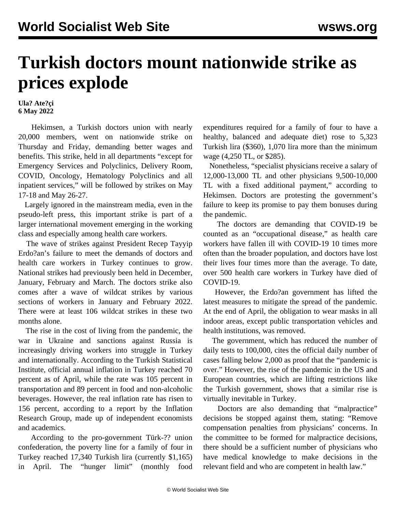## **Turkish doctors mount nationwide strike as prices explode**

**Ula? Ate?çi 6 May 2022**

 Hekimsen, a Turkish doctors union with nearly 20,000 members, went on nationwide strike on Thursday and Friday, demanding better wages and benefits. This strike, held in all departments "except for Emergency Services and Polyclinics, Delivery Room, COVID, Oncology, Hematology Polyclinics and all inpatient services," will be followed by strikes on May 17-18 and May 26-27.

 Largely ignored in the mainstream media, even in the pseudo-left press, this important strike is part of a larger international movement emerging in the working class and especially among health care workers.

 The wave of strikes against President Recep Tayyip Erdo?an's failure to meet the demands of doctors and health care workers in Turkey continues to grow. National strikes had previously been held in December, January, February and March. The doctors strike also comes after a wave of wildcat strikes by various sections of workers in January and February 2022. There were at least 106 wildcat strikes in these two months alone.

 The rise in the cost of living from the pandemic, the war in Ukraine and sanctions against Russia is increasingly driving workers into struggle in Turkey and internationally. According to the Turkish Statistical Institute, official annual inflation in Turkey reached 70 percent as of April, while the rate was 105 percent in transportation and 89 percent in food and non-alcoholic beverages. However, the real inflation rate has risen to 156 percent, according to a report by the Inflation Research Group, made up of independent economists and academics.

 According to the pro-government Türk-?? union confederation, the poverty line for a family of four in Turkey reached 17,340 Turkish lira (currently \$1,165) in April. The "hunger limit" (monthly food

expenditures required for a family of four to have a healthy, balanced and adequate diet) rose to 5,323 Turkish lira (\$360), 1,070 lira more than the minimum wage (4,250 TL, or \$285).

 Nonetheless, "specialist physicians receive a salary of 12,000-13,000 TL and other physicians 9,500-10,000 TL with a fixed additional payment," according to Hekimsen. Doctors are protesting the government's failure to keep its promise to pay them bonuses during the pandemic.

 The doctors are demanding that COVID-19 be counted as an "occupational disease," as health care workers have fallen ill with COVID-19 10 times more often than the broader population, and doctors have lost their lives four times more than the average. To date, over 500 health care workers in Turkey have died of COVID-19.

 However, the Erdo?an government has lifted the latest measures to mitigate the spread of the pandemic. At the end of April, the obligation to wear masks in all indoor areas, except public transportation vehicles and health institutions, was removed.

 The government, which has reduced the number of daily tests to 100,000, cites the official daily number of cases falling below 2,000 as proof that the "pandemic is over." However, the rise of the pandemic in the US and European countries, which are lifting restrictions like the Turkish government, shows that a similar rise is virtually inevitable in Turkey.

 Doctors are also demanding that "malpractice" decisions be stopped against them, stating: "Remove compensation penalties from physicians' concerns. In the committee to be formed for malpractice decisions, there should be a sufficient number of physicians who have medical knowledge to make decisions in the relevant field and who are competent in health law."